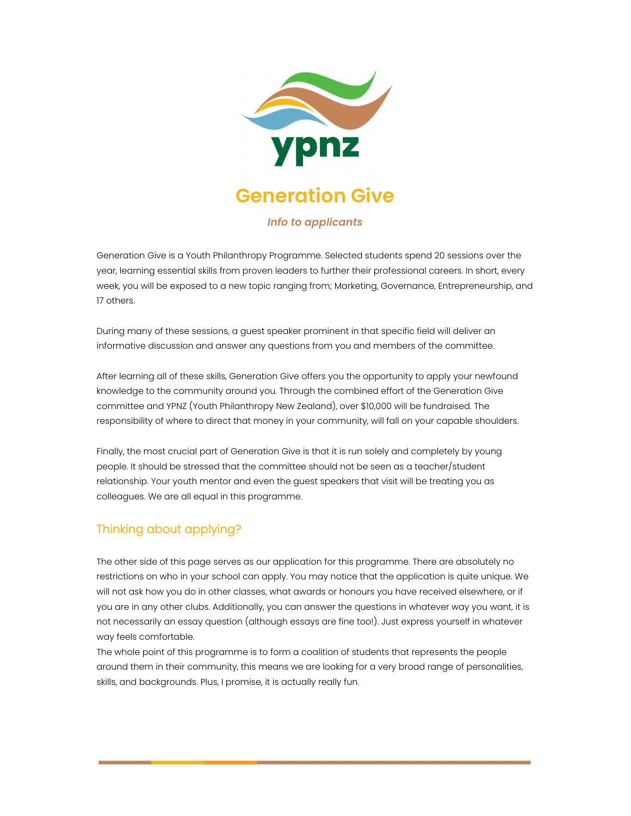

## *Info to applicants*

Generation Give is a Youth Philanthropy Programme. Selected students spend 20 sessions over the year, learning essential skills from proven leaders to further their professional careers. In short, every week, you will be exposed to a new topic ranging from; Marketing, Governance, Entrepreneurship, and 17 others.

During many of these sessions, a guest speaker prominent in that specific field will deliver an informative discussion and answer any questions from you and members of the committee.

After learning all of these skills, Generation Give offers you the opportunity to apply your newfound knowledge to the community around you. Through the combined effort of the Generation Give committee and YPNZ (Youth Philanthropy New Zealand), over \$10,000 will be fundraised. The responsibility of where to direct that money in your community, will fall on your capable shoulders.

Finally, the most crucial part of Generation Give is that it is run solely and completely by young people. It should be stressed that the committee should not be seen as a teacher/student relationship. Your youth mentor and even the guest speakers that visit will be treating you as colleagues. We are all equal in this programme.

## Thinking about applying?

The other side of this page serves as our application for this programme. There are absolutely no restrictions on who in your school can apply. You may notice that the application is quite unique. We will not ask how you do in other classes, what awards or honours you have received elsewhere, or if you are in any other clubs. Additionally, you can answer the questions in whatever way you want, it is not necessarily an essay question (although essays are fine too!). Just express yourself in whatever way feels comfortable.

The whole point of this programme is to form a coalition of students that represents the people around them in their community, this means we are looking for a very broad range of personalities, skills, and backgrounds. Plus, I promise, it is actually really fun.